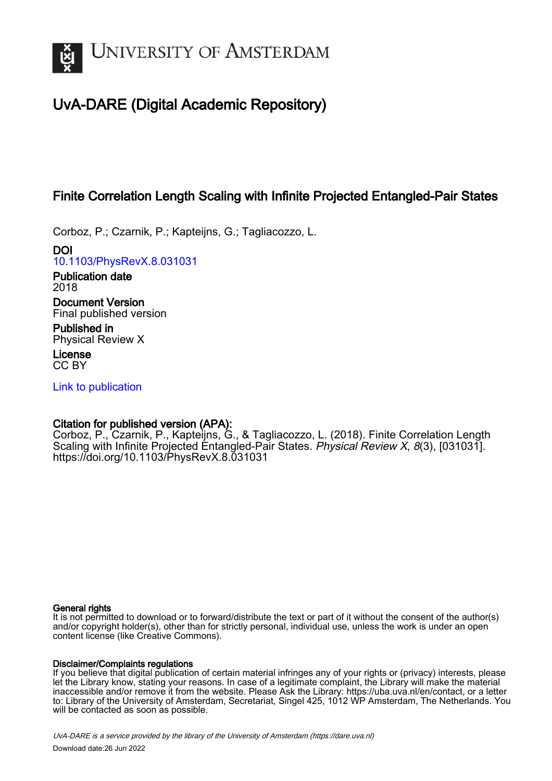

# UvA-DARE (Digital Academic Repository)

## Finite Correlation Length Scaling with Infinite Projected Entangled-Pair States

Corboz, P.; Czarnik, P.; Kapteijns, G.; Tagliacozzo, L.

DOI [10.1103/PhysRevX.8.031031](https://doi.org/10.1103/PhysRevX.8.031031)

Publication date 2018

Document Version Final published version

Published in Physical Review X

License CC BY

[Link to publication](https://dare.uva.nl/personal/pure/en/publications/finite-correlation-length-scaling-with-infinite-projected-entangledpair-states(934a8f64-8198-4088-8b72-ecd99505ae34).html)

## Citation for published version (APA):

Corboz, P., Czarnik, P., Kapteijns, G., & Tagliacozzo, L. (2018). Finite Correlation Length Scaling with Infinite Projected Entangled-Pair States. Physical Review X, 8(3), [031031]. <https://doi.org/10.1103/PhysRevX.8.031031>

## General rights

It is not permitted to download or to forward/distribute the text or part of it without the consent of the author(s) and/or copyright holder(s), other than for strictly personal, individual use, unless the work is under an open content license (like Creative Commons).

## Disclaimer/Complaints regulations

If you believe that digital publication of certain material infringes any of your rights or (privacy) interests, please let the Library know, stating your reasons. In case of a legitimate complaint, the Library will make the material inaccessible and/or remove it from the website. Please Ask the Library: https://uba.uva.nl/en/contact, or a letter to: Library of the University of Amsterdam, Secretariat, Singel 425, 1012 WP Amsterdam, The Netherlands. You will be contacted as soon as possible.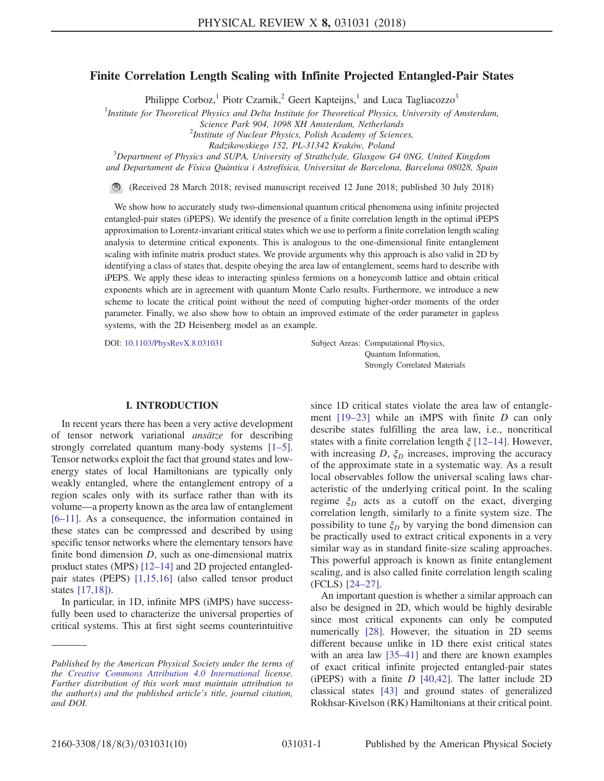## Finite Correlation Length Scaling with Infinite Projected Entangled-Pair States

Philippe Corboz,<sup>1</sup> Piotr Czarnik,<sup>2</sup> Geert Kapteijns,<sup>1</sup> and Luca Tagliacozzo<sup>3</sup>

<sup>1</sup>Institute for Theoretical Physics and Delta Institute for Theoretical Physics, University of Amsterdam,

Science Park 904, 1098 XH Amsterdam, Netherlands

 $2$ Institute of Nuclear Physics, Polish Academy of Sciences,

Radzikowskiego 152, PL-31342 Kraków, Poland <sup>3</sup>

 $3$ Department of Physics and SUPA, University of Strathclyde, Glasgow G4 0NG, United Kingdom

and Departament de Física Quàntica i Astrofísica, Universitat de Barcelona, Barcelona 08028, Spain

 $\circ$ (Received 28 March 2018; revised manuscript received 12 June 2018; published 30 July 2018)

We show how to accurately study two-dimensional quantum critical phenomena using infinite projected entangled-pair states (iPEPS). We identify the presence of a finite correlation length in the optimal iPEPS approximation to Lorentz-invariant critical states which we use to perform a finite correlation length scaling analysis to determine critical exponents. This is analogous to the one-dimensional finite entanglement scaling with infinite matrix product states. We provide arguments why this approach is also valid in 2D by identifying a class of states that, despite obeying the area law of entanglement, seems hard to describe with iPEPS. We apply these ideas to interacting spinless fermions on a honeycomb lattice and obtain critical exponents which are in agreement with quantum Monte Carlo results. Furthermore, we introduce a new scheme to locate the critical point without the need of computing higher-order moments of the order parameter. Finally, we also show how to obtain an improved estimate of the order parameter in gapless systems, with the 2D Heisenberg model as an example.

DOI: [10.1103/PhysRevX.8.031031](https://doi.org/10.1103/PhysRevX.8.031031) Subject Areas: Computational Physics,

Quantum Information, Strongly Correlated Materials

## I. INTRODUCTION

In recent years there has been a very active development of tensor network variational ansätze for describing strongly correlated quantum many-body systems [\[1](#page-8-0)–5]. Tensor networks exploit the fact that ground states and lowenergy states of local Hamiltonians are typically only weakly entangled, where the entanglement entropy of a region scales only with its surface rather than with its volume—a property known as the area law of entanglement [6–[11\].](#page-8-1) As a consequence, the information contained in these states can be compressed and described by using specific tensor networks where the elementary tensors have finite bond dimension D, such as one-dimensional matrix product states (MPS) [12–[14\]](#page-8-2) and 2D projected entangledpair states (PEPS) [\[1,15,16\]](#page-8-0) (also called tensor product states [\[17,18\]\)](#page-8-3).

In particular, in 1D, infinite MPS (iMPS) have successfully been used to characterize the universal properties of critical systems. This at first sight seems counterintuitive since 1D critical states violate the area law of entanglement  $[19-23]$  $[19-23]$  while an iMPS with finite D can only describe states fulfilling the area law, i.e., noncritical states with a finite correlation length  $\xi$  [12–[14\]](#page-8-2). However, with increasing  $D$ ,  $\xi_D$  increases, improving the accuracy of the approximate state in a systematic way. As a result local observables follow the universal scaling laws characteristic of the underlying critical point. In the scaling regime  $\xi_D$  acts as a cutoff on the exact, diverging correlation length, similarly to a finite system size. The possibility to tune  $\xi_D$  by varying the bond dimension can be practically used to extract critical exponents in a very similar way as in standard finite-size scaling approaches. This powerful approach is known as finite entanglement scaling, and is also called finite correlation length scaling (FCLS) [24–[27\].](#page-9-0)

An important question is whether a similar approach can also be designed in 2D, which would be highly desirable since most critical exponents can only be computed numerically [\[28\].](#page-9-1) However, the situation in 2D seems different because unlike in 1D there exist critical states with an area law [\[35](#page-9-2)–41] and there are known examples of exact critical infinite projected entangled-pair states (iPEPS) with a finite  $D$  [\[40,42\].](#page-9-3) The latter include 2D classical states [\[43\]](#page-9-4) and ground states of generalized Rokhsar-Kivelson (RK) Hamiltonians at their critical point.

Published by the American Physical Society under the terms of the [Creative Commons Attribution 4.0 International](https://creativecommons.org/licenses/by/4.0/) license. Further distribution of this work must maintain attribution to the author(s) and the published article's title, journal citation, and DOI.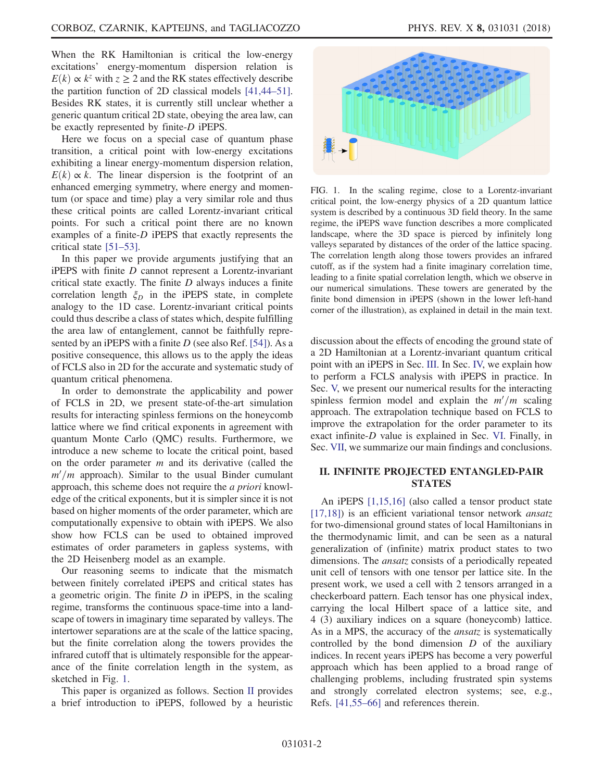When the RK Hamiltonian is critical the low-energy excitations' energy-momentum dispersion relation is  $E(k) \propto k^z$  with  $z \geq 2$  and the RK states effectively describe the partition function of 2D classical models [\[41,44](#page-9-5)–51]. Besides RK states, it is currently still unclear whether a generic quantum critical 2D state, obeying the area law, can be exactly represented by finite-D iPEPS.

Here we focus on a special case of quantum phase transition, a critical point with low-energy excitations exhibiting a linear energy-momentum dispersion relation,  $E(k) \propto k$ . The linear dispersion is the footprint of an enhanced emerging symmetry, where energy and momentum (or space and time) play a very similar role and thus these critical points are called Lorentz-invariant critical points. For such a critical point there are no known examples of a finite-D iPEPS that exactly represents the critical state [51–[53\].](#page-9-6)

In this paper we provide arguments justifying that an iPEPS with finite D cannot represent a Lorentz-invariant critical state exactly. The finite  $D$  always induces a finite correlation length  $\xi_D$  in the iPEPS state, in complete analogy to the 1D case. Lorentz-invariant critical points could thus describe a class of states which, despite fulfilling the area law of entanglement, cannot be faithfully represented by an iPEPS with a finite  $D$  (see also Ref. [\[54\]](#page-9-7)). As a positive consequence, this allows us to the apply the ideas of FCLS also in 2D for the accurate and systematic study of quantum critical phenomena.

In order to demonstrate the applicability and power of FCLS in 2D, we present state-of-the-art simulation results for interacting spinless fermions on the honeycomb lattice where we find critical exponents in agreement with quantum Monte Carlo (QMC) results. Furthermore, we introduce a new scheme to locate the critical point, based on the order parameter m and its derivative (called the  $m'/m$  approach). Similar to the usual Binder cumulant approach, this scheme does not require the a priori knowledge of the critical exponents, but it is simpler since it is not based on higher moments of the order parameter, which are computationally expensive to obtain with iPEPS. We also show how FCLS can be used to obtained improved estimates of order parameters in gapless systems, with the 2D Heisenberg model as an example.

Our reasoning seems to indicate that the mismatch between finitely correlated iPEPS and critical states has a geometric origin. The finite  $D$  in iPEPS, in the scaling regime, transforms the continuous space-time into a landscape of towers in imaginary time separated by valleys. The intertower separations are at the scale of the lattice spacing, but the finite correlation along the towers provides the infrared cutoff that is ultimately responsible for the appearance of the finite correlation length in the system, as sketched in Fig. [1](#page-2-0).

This paper is organized as follows. Section [II](#page-2-1) provides a brief introduction to iPEPS, followed by a heuristic

<span id="page-2-0"></span>

FIG. 1. In the scaling regime, close to a Lorentz-invariant critical point, the low-energy physics of a 2D quantum lattice system is described by a continuous 3D field theory. In the same regime, the iPEPS wave function describes a more complicated landscape, where the 3D space is pierced by infinitely long valleys separated by distances of the order of the lattice spacing. The correlation length along those towers provides an infrared cutoff, as if the system had a finite imaginary correlation time, leading to a finite spatial correlation length, which we observe in our numerical simulations. These towers are generated by the finite bond dimension in iPEPS (shown in the lower left-hand corner of the illustration), as explained in detail in the main text.

discussion about the effects of encoding the ground state of a 2D Hamiltonian at a Lorentz-invariant quantum critical point with an iPEPS in Sec. [III.](#page-3-0) In Sec. [IV,](#page-5-0) we explain how to perform a FCLS analysis with iPEPS in practice. In Sec. [V,](#page-5-1) we present our numerical results for the interacting spinless fermion model and explain the  $m'/m$  scaling approach. The extrapolation technique based on FCLS to improve the extrapolation for the order parameter to its exact infinite-D value is explained in Sec. [VI](#page-7-0). Finally, in Sec. [VII](#page-7-1), we summarize our main findings and conclusions.

## <span id="page-2-1"></span>II. INFINITE PROJECTED ENTANGLED-PAIR **STATES**

An iPEPS [\[1,15,16\]](#page-8-0) (also called a tensor product state [\[17,18\]](#page-8-3)) is an efficient variational tensor network *ansatz* for two-dimensional ground states of local Hamiltonians in the thermodynamic limit, and can be seen as a natural generalization of (infinite) matrix product states to two dimensions. The ansatz consists of a periodically repeated unit cell of tensors with one tensor per lattice site. In the present work, we used a cell with 2 tensors arranged in a checkerboard pattern. Each tensor has one physical index, carrying the local Hilbert space of a lattice site, and 4 (3) auxiliary indices on a square (honeycomb) lattice. As in a MPS, the accuracy of the *ansatz* is systematically controlled by the bond dimension  $D$  of the auxiliary indices. In recent years iPEPS has become a very powerful approach which has been applied to a broad range of challenging problems, including frustrated spin systems and strongly correlated electron systems; see, e.g., Refs. [\[41,55](#page-9-5)–66] and references therein.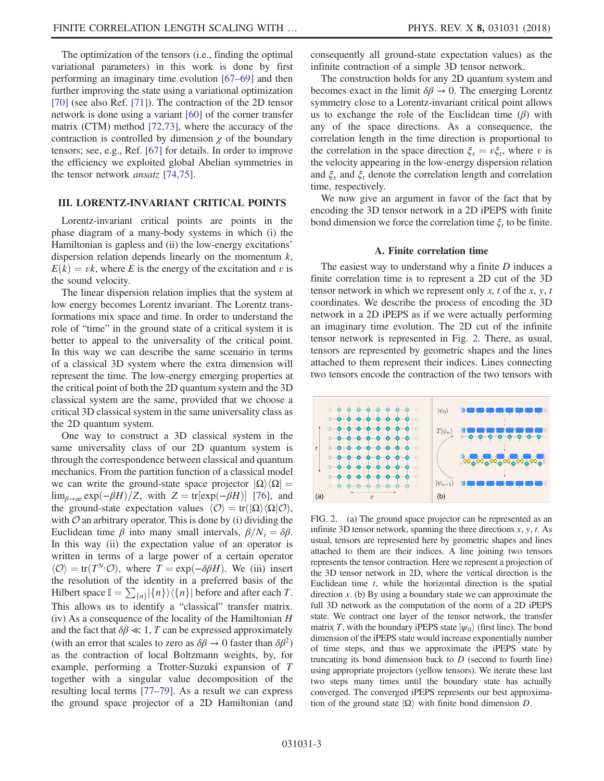The optimization of the tensors (i.e., finding the optimal variational parameters) in this work is done by first performing an imaginary time evolution [\[67](#page-10-0)–69] and then further improving the state using a variational optimization [\[70\]](#page-10-1) (see also Ref. [\[71\]](#page-10-2)). The contraction of the 2D tensor network is done using a variant [\[60\]](#page-10-3) of the corner transfer matrix (CTM) method [\[72,73\],](#page-10-4) where the accuracy of the contraction is controlled by dimension  $\chi$  of the boundary tensors; see, e.g., Ref. [\[67\]](#page-10-0) for details. In order to improve the efficiency we exploited global Abelian symmetries in the tensor network ansatz [\[74,75\].](#page-10-5)

#### <span id="page-3-0"></span>III. LORENTZ-INVARIANT CRITICAL POINTS

Lorentz-invariant critical points are points in the phase diagram of a many-body systems in which (i) the Hamiltonian is gapless and (ii) the low-energy excitations' dispersion relation depends linearly on the momentum  $k$ ,  $E(k) = vk$ , where E is the energy of the excitation and v is the sound velocity.

The linear dispersion relation implies that the system at low energy becomes Lorentz invariant. The Lorentz transformations mix space and time. In order to understand the role of "time" in the ground state of a critical system it is better to appeal to the universality of the critical point. In this way we can describe the same scenario in terms of a classical 3D system where the extra dimension will represent the time. The low-energy emerging properties at the critical point of both the 2D quantum system and the 3D classical system are the same, provided that we choose a critical 3D classical system in the same universality class as the 2D quantum system.

One way to construct a 3D classical system in the same universality class of our 2D quantum system is through the correspondence between classical and quantum mechanics. From the partition function of a classical model we can write the ground-state space projector  $|\Omega\rangle\langle\Omega|$  =  $\lim_{\beta \to \infty} \exp(-\beta H)/Z$ , with  $Z = \text{tr}[\exp(-\beta H)]$  [\[76\],](#page-10-6) and<br>the ground-state expectation values  $\langle \mathcal{O} \rangle = \text{tr}(|\mathbf{O} \setminus \mathbf{O}|\mathcal{O})$ the ground-state expectation values  $\langle \mathcal{O} \rangle = \text{tr}(|\Omega\rangle \langle \Omega|\mathcal{O})$ , with  $\mathcal O$  an arbitrary operator. This is done by (i) dividing the Euclidean time  $\beta$  into many small intervals,  $\beta/N_t = \delta\beta$ . In this way (ii) the expectation value of an operator is written in terms of a large power of a certain operator  $\langle \mathcal{O} \rangle = \text{tr}(T^{N_t}\mathcal{O})$ , where  $T = \exp(-\delta \beta H)$ . We (iii) insert the resolution of the identity in a preferred basis of the Hilbert space  $\mathbb{I} = \sum_{n=1}^{\infty} |\{n\}\rangle \langle \{n\}|$  before and after each T. This allows us to identify a "classical" transfer matrix. (iv) As a consequence of the locality of the Hamiltonian  $H$ and the fact that  $\delta \beta \ll 1$ , T can be expressed approximately (with an error that scales to zero as  $\delta\beta \to 0$  faster than  $\delta\beta^2$ ) as the contraction of local Boltzmann weights, by, for example, performing a Trotter-Suzuki expansion of T together with a singular value decomposition of the resulting local terms [\[77](#page-10-7)–79]. As a result we can express the ground space projector of a 2D Hamiltonian (and consequently all ground-state expectation values) as the infinite contraction of a simple 3D tensor network.

The construction holds for any 2D quantum system and becomes exact in the limit  $\delta\beta \to 0$ . The emerging Lorentz symmetry close to a Lorentz-invariant critical point allows us to exchange the role of the Euclidean time  $(\beta)$  with any of the space directions. As a consequence, the correlation length in the time direction is proportional to the correlation in the space direction  $\xi_s = v \xi_t$ , where v is the velocity appearing in the low-energy dispersion relation and  $\xi_s$  and  $\xi_t$  denote the correlation length and correlation time, respectively.

We now give an argument in favor of the fact that by encoding the 3D tensor network in a 2D iPEPS with finite bond dimension we force the correlation time  $\xi_t$  to be finite.

#### A. Finite correlation time

The easiest way to understand why a finite  $D$  induces a finite correlation time is to represent a 2D cut of the 3D tensor network in which we represent only x, t of the x, y, t coordinates. We describe the process of encoding the 3D network in a 2D iPEPS as if we were actually performing an imaginary time evolution. The 2D cut of the infinite tensor network is represented in Fig. [2.](#page-3-1) There, as usual, tensors are represented by geometric shapes and the lines attached to them represent their indices. Lines connecting two tensors encode the contraction of the two tensors with

<span id="page-3-1"></span>

FIG. 2. (a) The ground space projector can be represented as an infinite 3D tensor network, spanning the three directions  $x, y, t$ . As usual, tensors are represented here by geometric shapes and lines attached to them are their indices. A line joining two tensors represents the tensor contraction. Here we represent a projection of the 3D tensor network in 2D, where the vertical direction is the Euclidean time  $t$ , while the horizontal direction is the spatial direction  $x$ . (b) By using a boundary state we can approximate the full 3D network as the computation of the norm of a 2D iPEPS state. We contract one layer of the tensor network, the transfer matrix T, with the boundary iPEPS state  $|\psi_0\rangle$  (first line). The bond dimension of the iPEPS state would increase exponentially number of time steps, and thus we approximate the iPEPS state by truncating its bond dimension back to  $D$  (second to fourth line) using appropriate projectors (yellow tensors). We iterate these last two steps many times until the boundary state has actually converged. The converged iPEPS represents our best approximation of the ground state  $|\Omega\rangle$  with finite bond dimension D.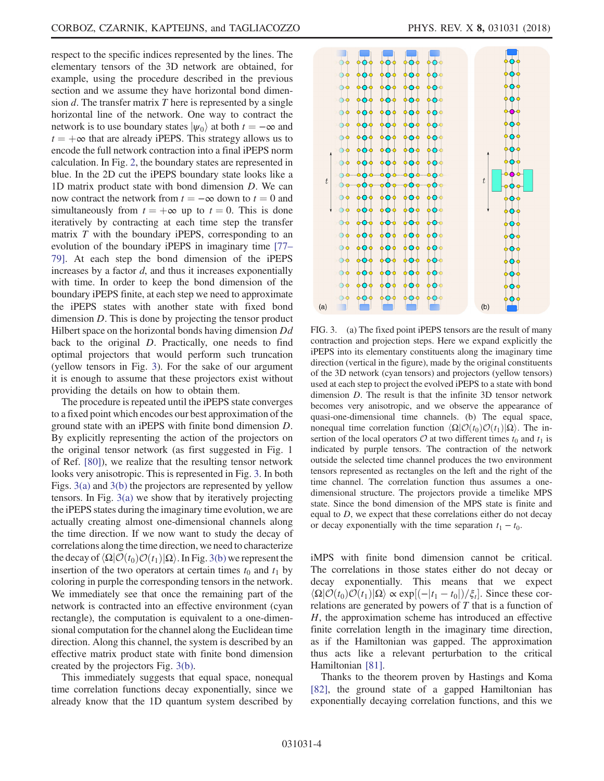respect to the specific indices represented by the lines. The elementary tensors of the 3D network are obtained, for example, using the procedure described in the previous section and we assume they have horizontal bond dimension  $d$ . The transfer matrix  $T$  here is represented by a single horizontal line of the network. One way to contract the network is to use boundary states  $|\psi_0\rangle$  at both  $t = -\infty$  and  $t = +\infty$  that are already iPEPS. This strategy allows us to encode the full network contraction into a final iPEPS norm calculation. In Fig. [2](#page-3-1), the boundary states are represented in blue. In the 2D cut the iPEPS boundary state looks like a 1D matrix product state with bond dimension D. We can now contract the network from  $t = -\infty$  down to  $t = 0$  and simultaneously from  $t = +\infty$  up to  $t = 0$ . This is done iteratively by contracting at each time step the transfer matrix  $T$  with the boundary iPEPS, corresponding to an evolution of the boundary iPEPS in imaginary time [\[77](#page-10-7)– [79\].](#page-10-7) At each step the bond dimension of the iPEPS increases by a factor d, and thus it increases exponentially with time. In order to keep the bond dimension of the boundary iPEPS finite, at each step we need to approximate the iPEPS states with another state with fixed bond dimension D. This is done by projecting the tensor product Hilbert space on the horizontal bonds having dimension  $Dd$ back to the original D. Practically, one needs to find optimal projectors that would perform such truncation (yellow tensors in Fig. [3](#page-4-0)). For the sake of our argument it is enough to assume that these projectors exist without providing the details on how to obtain them.

The procedure is repeated until the iPEPS state converges to a fixed point which encodes our best approximation of the ground state with an iPEPS with finite bond dimension D. By explicitly representing the action of the projectors on the original tensor network (as first suggested in Fig. 1 of Ref. [\[80\]\)](#page-10-8), we realize that the resulting tensor network looks very anisotropic. This is represented in Fig. [3.](#page-4-0) In both Figs. [3\(a\)](#page-4-0) and [3\(b\)](#page-4-0) the projectors are represented by yellow tensors. In Fig. [3\(a\)](#page-4-0) we show that by iteratively projecting the iPEPS states during the imaginary time evolution, we are actually creating almost one-dimensional channels along the time direction. If we now want to study the decay of correlations along the time direction, we need to characterize the decay of  $\langle \Omega | \mathcal{O}(t_0) \mathcal{O}(t_1) | \Omega \rangle$ . In Fig. [3\(b\)](#page-4-0) we represent the insertion of the two operators at certain times  $t_0$  and  $t_1$  by coloring in purple the corresponding tensors in the network. We immediately see that once the remaining part of the network is contracted into an effective environment (cyan rectangle), the computation is equivalent to a one-dimensional computation for the channel along the Euclidean time direction. Along this channel, the system is described by an effective matrix product state with finite bond dimension created by the projectors Fig. [3\(b\).](#page-4-0)

This immediately suggests that equal space, nonequal time correlation functions decay exponentially, since we already know that the 1D quantum system described by

<span id="page-4-0"></span>

FIG. 3. (a) The fixed point iPEPS tensors are the result of many contraction and projection steps. Here we expand explicitly the iPEPS into its elementary constituents along the imaginary time direction (vertical in the figure), made by the original constituents of the 3D network (cyan tensors) and projectors (yellow tensors) used at each step to project the evolved iPEPS to a state with bond dimension D. The result is that the infinite 3D tensor network becomes very anisotropic, and we observe the appearance of quasi-one-dimensional time channels. (b) The equal space, nonequal time correlation function  $\langle \Omega | \mathcal{O}(t_0) \mathcal{O}(t_1) | \Omega \rangle$ . The insertion of the local operators  $\mathcal O$  at two different times  $t_0$  and  $t_1$  is indicated by purple tensors. The contraction of the network outside the selected time channel produces the two environment tensors represented as rectangles on the left and the right of the time channel. The correlation function thus assumes a onedimensional structure. The projectors provide a timelike MPS state. Since the bond dimension of the MPS state is finite and equal to D, we expect that these correlations either do not decay or decay exponentially with the time separation  $t_1 - t_0$ .

iMPS with finite bond dimension cannot be critical. The correlations in those states either do not decay or decay exponentially. This means that we expect  $\langle \Omega | \mathcal{O}(t_0) \mathcal{O}(t_1) | \Omega \rangle \propto \exp[(-|t_1 - t_0|)/\xi_t].$  Since these correlations are generated by nowers of T that is a function of relations are generated by powers of  $T$  that is a function of  $H$ , the approximation scheme has introduced an effective finite correlation length in the imaginary time direction, as if the Hamiltonian was gapped. The approximation thus acts like a relevant perturbation to the critical Hamiltonian [\[81\].](#page-10-9)

Thanks to the theorem proven by Hastings and Koma [\[82\]](#page-10-10), the ground state of a gapped Hamiltonian has exponentially decaying correlation functions, and this we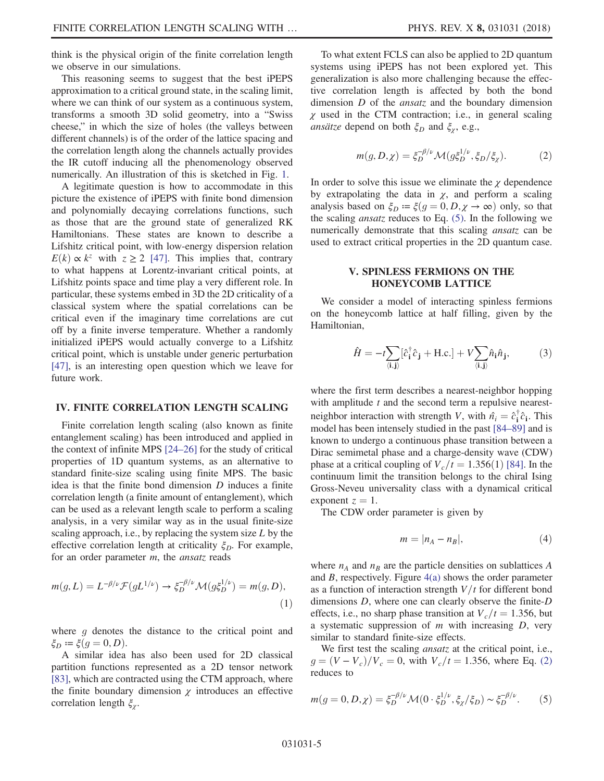think is the physical origin of the finite correlation length we observe in our simulations.

This reasoning seems to suggest that the best iPEPS approximation to a critical ground state, in the scaling limit, where we can think of our system as a continuous system, transforms a smooth 3D solid geometry, into a "Swiss cheese," in which the size of holes (the valleys between different channels) is of the order of the lattice spacing and the correlation length along the channels actually provides the IR cutoff inducing all the phenomenology observed numerically. An illustration of this is sketched in Fig. [1.](#page-2-0)

A legitimate question is how to accommodate in this picture the existence of iPEPS with finite bond dimension and polynomially decaying correlations functions, such as those that are the ground state of generalized RK Hamiltonians. These states are known to describe a Lifshitz critical point, with low-energy dispersion relation  $E(k) \propto k^z$  with  $z \geq 2$  [\[47\].](#page-9-8) This implies that, contrary to what happens at Lorentz-invariant critical points, at Lifshitz points space and time play a very different role. In particular, these systems embed in 3D the 2D criticality of a classical system where the spatial correlations can be critical even if the imaginary time correlations are cut off by a finite inverse temperature. Whether a randomly initialized iPEPS would actually converge to a Lifshitz critical point, which is unstable under generic perturbation [\[47\]](#page-9-8), is an interesting open question which we leave for future work.

#### <span id="page-5-0"></span>IV. FINITE CORRELATION LENGTH SCALING

Finite correlation length scaling (also known as finite entanglement scaling) has been introduced and applied in the context of infinite MPS [24–[26\]](#page-9-0) for the study of critical properties of 1D quantum systems, as an alternative to standard finite-size scaling using finite MPS. The basic idea is that the finite bond dimension D induces a finite correlation length (a finite amount of entanglement), which can be used as a relevant length scale to perform a scaling analysis, in a very similar way as in the usual finite-size scaling approach, i.e., by replacing the system size  $L$  by the effective correlation length at criticality  $\xi_D$ . For example, for an order parameter m, the *ansatz* reads

$$
m(g, L) = L^{-\beta/\nu} \mathcal{F}(gL^{1/\nu}) \to \xi_D^{-\beta/\nu} \mathcal{M}(g\xi_D^{\xi/\nu}) = m(g, D),
$$
\n(1)

where  $g$  denotes the distance to the critical point and  $\xi_D \coloneqq \xi(g=0, D).$ 

A similar idea has also been used for 2D classical partition functions represented as a 2D tensor network [\[83\]](#page-10-11), which are contracted using the CTM approach, where the finite boundary dimension  $\chi$  introduces an effective correlation length  $\xi_{\chi}$ .

To what extent FCLS can also be applied to 2D quantum systems using iPEPS has not been explored yet. This generalization is also more challenging because the effective correlation length is affected by both the bond dimension  $D$  of the *ansatz* and the boundary dimension  $\chi$  used in the CTM contraction; i.e., in general scaling *ansätze* depend on both  $\xi_D$  and  $\xi_{\gamma}$ , e.g.,

<span id="page-5-3"></span>
$$
m(g, D, \chi) = \xi_D^{-\beta/\nu} \mathcal{M}(g\xi_D^{1/\nu}, \xi_D/\xi_\chi). \tag{2}
$$

In order to solve this issue we eliminate the  $\chi$  dependence by extrapolating the data in  $\chi$ , and perform a scaling analysis based on  $\xi_D := \xi(g = 0, D, \chi \to \infty)$  only, so that the scaling ansatz reduces to Eq. [\(5\)](#page-5-2). In the following we numerically demonstrate that this scaling *ansatz* can be used to extract critical properties in the 2D quantum case.

#### <span id="page-5-1"></span>V. SPINLESS FERMIONS ON THE HONEYCOMB LATTICE

We consider a model of interacting spinless fermions on the honeycomb lattice at half filling, given by the Hamiltonian,

$$
\hat{H} = -t \sum_{\langle \mathbf{i}, \mathbf{j} \rangle} [\hat{c}_{\mathbf{i}}^{\dagger} \hat{c}_{\mathbf{j}} + \text{H.c.}] + V \sum_{\langle \mathbf{i}, \mathbf{j} \rangle} \hat{n}_{\mathbf{i}} \hat{n}_{\mathbf{j}}, \tag{3}
$$

where the first term describes a nearest-neighbor hopping with amplitude  $t$  and the second term a repulsive nearestneighbor interaction with strength V, with  $\hat{n}_i = \hat{c}_i^{\dagger} \hat{c}_i$ . This model has been intensely studied in the nast [84, 89] and is model has been intensely studied in the past [84–[89\]](#page-10-12) and is known to undergo a continuous phase transition between a Dirac semimetal phase and a charge-density wave (CDW) phase at a critical coupling of  $V_c/t=1.356(1)$  [\[84\].](#page-10-12) In the continuum limit the transition belongs to the chiral Ising Gross-Neveu universality class with a dynamical critical exponent  $z = 1$ .

The CDW order parameter is given by

$$
m = |n_A - n_B|,\t\t(4)
$$

where  $n_A$  and  $n_B$  are the particle densities on sublattices A and B, respectively. Figure [4\(a\)](#page-6-0) shows the order parameter as a function of interaction strength  $V/t$  for different bond dimensions D, where one can clearly observe the finite-D effects, i.e., no sharp phase transition at  $V_c/t=1.356$ , but a systematic suppression of  $m$  with increasing  $D$ , very similar to standard finite-size effects.

<span id="page-5-2"></span>We first test the scaling *ansatz* at the critical point, i.e.,  $g = (V - V_c)/V_c = 0$ , with  $V_c/t = 1.356$ , where Eq. [\(2\)](#page-5-3) reduces to

$$
m(g = 0, D, \chi) = \xi_D^{-\beta/\nu} \mathcal{M}(0 \cdot \xi_D^{1/\nu}, \xi_\chi/\xi_D) \sim \xi_D^{-\beta/\nu}.
$$
 (5)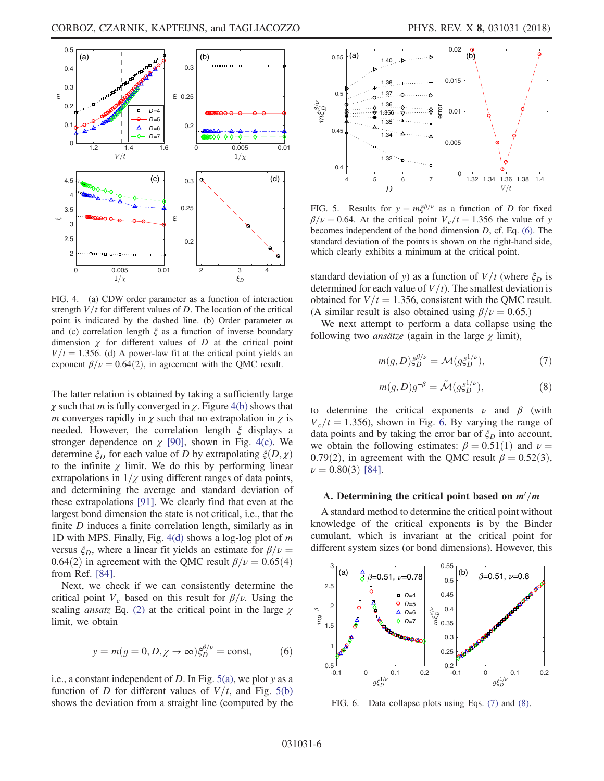<span id="page-6-0"></span>

FIG. 4. (a) CDW order parameter as a function of interaction strength  $V/t$  for different values of D. The location of the critical point is indicated by the dashed line. (b) Order parameter  $m$ and (c) correlation length  $\xi$  as a function of inverse boundary dimension  $\chi$  for different values of D at the critical point  $V/t=1.356$ . (d) A power-law fit at the critical point yields an exponent  $\beta/\nu = 0.64(2)$ , in agreement with the QMC result.

The latter relation is obtained by taking a sufficiently large  $\chi$  such that *m* is fully converged in  $\chi$ . Figure [4\(b\)](#page-6-0) shows that m converges rapidly in  $\gamma$  such that no extrapolation in  $\gamma$  is needed. However, the correlation length  $\xi$  displays a stronger dependence on  $\chi$  [\[90\],](#page-10-13) shown in Fig. [4\(c\)](#page-6-0). We determine  $\xi_D$  for each value of D by extrapolating  $\xi(D,\chi)$ to the infinite  $\chi$  limit. We do this by performing linear extrapolations in  $1/\chi$  using different ranges of data points, and determining the average and standard deviation of these extrapolations [\[91\]](#page-10-14). We clearly find that even at the largest bond dimension the state is not critical, i.e., that the finite D induces a finite correlation length, similarly as in 1D with MPS. Finally, Fig.  $4(d)$  shows a log-log plot of m versus  $\xi_D$ , where a linear fit yields an estimate for  $\beta/\nu =$ 0.64(2) in agreement with the QMC result  $\beta/\nu = 0.65(4)$ from Ref. [\[84\]](#page-10-12).

<span id="page-6-3"></span>Next, we check if we can consistently determine the critical point  $V_c$  based on this result for  $\beta/\nu$ . Using the scaling *ansatz* Eq. [\(2\)](#page-5-3) at the critical point in the large  $\chi$ limit, we obtain

$$
y = m(g = 0, D, \chi \to \infty) \xi_D^{\beta/\nu} = \text{const}, \tag{6}
$$

i.e., a constant independent of D. In Fig.  $5(a)$ , we plot y as a function of D for different values of  $V/t$ , and Fig. [5\(b\)](#page-6-1) shows the deviation from a straight line (computed by the

<span id="page-6-1"></span>

FIG. 5. Results for  $y = m\xi^{\beta/\nu}$  as a function of D for fixed  $\beta/\nu=0.64$ . At the critical point  $V_c/t=1.356$  the value of y becomes independent of the bond dimension  $D$ , cf. Eq. [\(6\)](#page-6-3). The standard deviation of the points is shown on the right-hand side, which clearly exhibits a minimum at the critical point.

standard deviation of y) as a function of  $V/t$  (where  $\xi_D$  is determined for each value of  $V/t$ ). The smallest deviation is obtained for  $V/t = 1.356$ , consistent with the QMC result. (A similar result is also obtained using  $\beta/\nu = 0.65$ .)

<span id="page-6-4"></span>We next attempt to perform a data collapse using the following two *ansätze* (again in the large  $\chi$  limit),

$$
m(g, D)\xi_D^{\beta/\nu} = \mathcal{M}(g_{D}^{\xi_1/\nu}),\tag{7}
$$

$$
m(g, D)g^{-\beta} = \tilde{\mathcal{M}}(g_{5D}^{\xi_1/\nu}),\tag{8}
$$

<span id="page-6-5"></span>to determine the critical exponents  $\nu$  and  $\beta$  (with  $V_c/t=1.356$  $V_c/t=1.356$ , shown in Fig. 6. By varying the range of data points and by taking the error bar of  $\xi_D$  into account, we obtain the following estimates:  $\beta = 0.51(1)$  and  $\nu =$ 0.79(2), in agreement with the QMC result  $\beta = 0.52(3)$ ,  $\nu = 0.80(3)$  [\[84\]](#page-10-12).

## A. Determining the critical point based on  $m'/m$

A standard method to determine the critical point without knowledge of the critical exponents is by the Binder cumulant, which is invariant at the critical point for different system sizes (or bond dimensions). However, this

<span id="page-6-2"></span>

FIG. 6. Data collapse plots using Eqs. [\(7\)](#page-6-4) and [\(8\)](#page-6-5).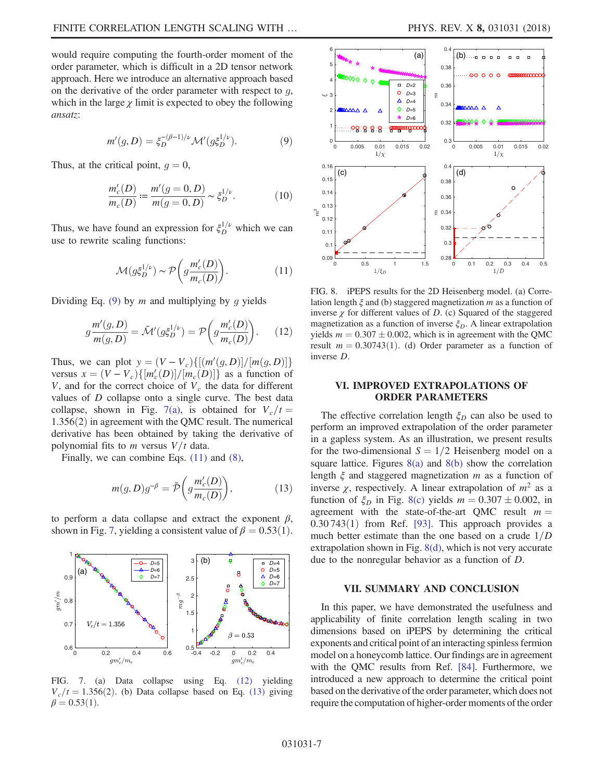<span id="page-7-2"></span>would require computing the fourth-order moment of the order parameter, which is difficult in a 2D tensor network approach. Here we introduce an alternative approach based on the derivative of the order parameter with respect to  $q$ , which in the large  $\chi$  limit is expected to obey the following ansatz:

$$
m'(g, D) = \xi_D^{-(\beta - 1)/\nu} \mathcal{M}'(g\xi_D^{1/\nu}).
$$
 (9)

Thus, at the critical point,  $q = 0$ ,

$$
\frac{m_c'(D)}{m_c(D)} := \frac{m'(g=0,D)}{m(g=0,D)} \sim \xi_D^{1/\nu}.
$$
 (10)

<span id="page-7-4"></span>Thus, we have found an expression for  $\xi_D^{1/\nu}$  which we can use to rewrite scaling functions:

$$
\mathcal{M}(g_{\mathcal{D}}^{\mathcal{E}_1/\nu}) \sim \mathcal{P}\bigg(g\frac{m_c'(D)}{m_c(D)}\bigg). \tag{11}
$$

<span id="page-7-6"></span>Dividing Eq. [\(9\)](#page-7-2) by m and multiplying by q yields

$$
g\frac{m'(g,D)}{m(g,D)} = \bar{\mathcal{M}}'(g\xi_D^{1/\nu}) = \mathcal{P}\left(g\frac{m_c'(D)}{m_c(D)}\right). \tag{12}
$$

Thus, we can plot  $y = (V - V_c)\{[(m'(g, D)]/[m(g, D)]\}$ <br>versus  $x - (V - V_s)$  $\{[m'(D)]/[m(g, D)]\}$  as a function of versus  $x = (V - V_c)\{ [m_c'(D)] / [m_c(D)] \}$  as a function of<br>V and for the correct choice of V the data for different V, and for the correct choice of  $V_c$  the data for different values of D collapse onto a single curve. The best data collapse, shown in Fig. [7\(a\),](#page-7-3) is obtained for  $V_c/t =$  $1.356(2)$  in agreement with the QMC result. The numerical derivative has been obtained by taking the derivative of polynomial fits to *m* versus  $V/t$  data.

<span id="page-7-7"></span>Finally, we can combine Eqs. [\(11\)](#page-7-4) and [\(8\)](#page-6-5),

$$
m(g, D)g^{-\beta} = \tilde{\mathcal{P}}\left(g\frac{m_c'(D)}{m_c(D)}\right),\tag{13}
$$

to perform a data collapse and extract the exponent  $\beta$ , shown in Fig. [7,](#page-7-3) yielding a consistent value of  $\beta = 0.53(1)$ .

<span id="page-7-3"></span>

FIG. 7. (a) Data collapse using Eq. [\(12\)](#page-7-6) yielding  $V_c/t=1.356(2)$ . (b) Data collapse based on Eq. [\(13\)](#page-7-7) giving  $\beta = 0.53(1)$ .

<span id="page-7-5"></span>

FIG. 8. iPEPS results for the 2D Heisenberg model. (a) Correlation length  $\xi$  and (b) staggered magnetization m as a function of inverse  $\chi$  for different values of D. (c) Squared of the staggered magnetization as a function of inverse  $\xi_D$ . A linear extrapolation yields  $m = 0.307 \pm 0.002$ , which is in agreement with the QMC result  $m = 0.30743(1)$ . (d) Order parameter as a function of inverse D.

#### <span id="page-7-0"></span>VI. IMPROVED EXTRAPOLATIONS OF ORDER PARAMETERS

The effective correlation length  $\xi_D$  can also be used to perform an improved extrapolation of the order parameter in a gapless system. As an illustration, we present results for the two-dimensional  $S = 1/2$  Heisenberg model on a square lattice. Figures  $8(a)$  and  $8(b)$  show the correlation length  $\xi$  and staggered magnetization m as a function of inverse  $\chi$ , respectively. A linear extrapolation of  $m^2$  as a function of  $\xi_D$  in Fig. [8\(c\)](#page-7-5) yields  $m = 0.307 \pm 0.002$ , in agreement with the state-of-the-art QMC result  $m =$  $0.30743(1)$  from Ref. [\[93\].](#page-10-15) This approach provides a much better estimate than the one based on a crude  $1/D$ extrapolation shown in Fig. [8\(d\),](#page-7-5) which is not very accurate due to the nonregular behavior as a function of D.

#### VII. SUMMARY AND CONCLUSION

<span id="page-7-1"></span>In this paper, we have demonstrated the usefulness and applicability of finite correlation length scaling in two dimensions based on iPEPS by determining the critical exponents and critical point of an interacting spinless fermion model on a honeycomb lattice. Our findings are in agreement with the QMC results from Ref. [\[84\]](#page-10-12). Furthermore, we introduced a new approach to determine the critical point based on the derivative of the order parameter, which does not require the computation of higher-order moments of the order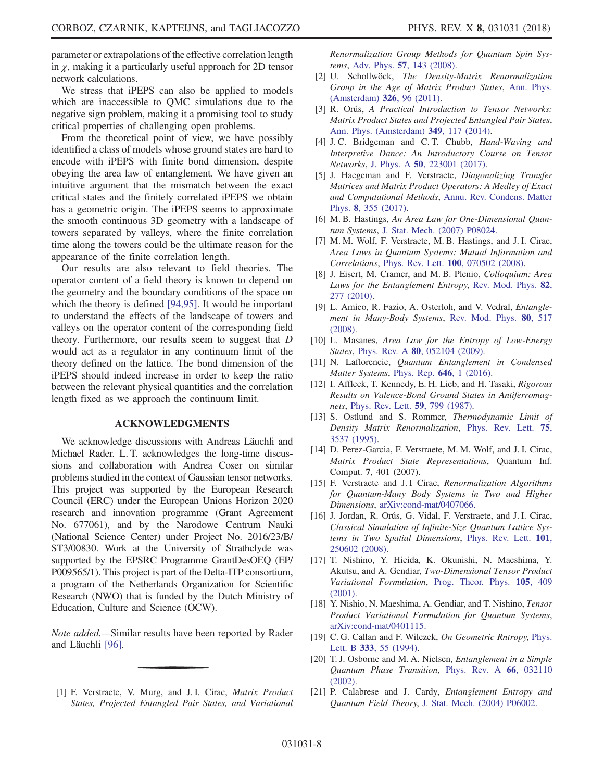parameter or extrapolations of the effective correlation length in  $\gamma$ , making it a particularly useful approach for 2D tensor network calculations.

We stress that iPEPS can also be applied to models which are inaccessible to QMC simulations due to the negative sign problem, making it a promising tool to study critical properties of challenging open problems.

From the theoretical point of view, we have possibly identified a class of models whose ground states are hard to encode with iPEPS with finite bond dimension, despite obeying the area law of entanglement. We have given an intuitive argument that the mismatch between the exact critical states and the finitely correlated iPEPS we obtain has a geometric origin. The iPEPS seems to approximate the smooth continuous 3D geometry with a landscape of towers separated by valleys, where the finite correlation time along the towers could be the ultimate reason for the appearance of the finite correlation length.

Our results are also relevant to field theories. The operator content of a field theory is known to depend on the geometry and the boundary conditions of the space on which the theory is defined [\[94,95\].](#page-10-16) It would be important to understand the effects of the landscape of towers and valleys on the operator content of the corresponding field theory. Furthermore, our results seem to suggest that D would act as a regulator in any continuum limit of the theory defined on the lattice. The bond dimension of the iPEPS should indeed increase in order to keep the ratio between the relevant physical quantities and the correlation length fixed as we approach the continuum limit.

#### ACKNOWLEDGMENTS

We acknowledge discussions with Andreas Läuchli and Michael Rader. L. T. acknowledges the long-time discussions and collaboration with Andrea Coser on similar problems studied in the context of Gaussian tensor networks. This project was supported by the European Research Council (ERC) under the European Unions Horizon 2020 research and innovation programme (Grant Agreement No. 677061), and by the Narodowe Centrum Nauki (National Science Center) under Project No. 2016/23/B/ ST3/00830. Work at the University of Strathclyde was supported by the EPSRC Programme GrantDesOEQ (EP/ P009565/1). This project is part of the Delta-ITP consortium, a program of the Netherlands Organization for Scientific Research (NWO) that is funded by the Dutch Ministry of Education, Culture and Science (OCW).

Note added.—Similar results have been reported by Rader and Läuchli [\[96\]](#page-10-17).

<span id="page-8-0"></span>[1] F. Verstraete, V. Murg, and J.I. Cirac, *Matrix Product* States, Projected Entangled Pair States, and Variational Renormalization Group Methods for Quantum Spin Systems, Adv. Phys. 57[, 143 \(2008\)](https://doi.org/10.1080/14789940801912366).

- [2] U. Schollwöck, The Density-Matrix Renormalization Group in the Age of Matrix Product States, [Ann. Phys.](https://doi.org/10.1016/j.aop.2010.09.012) [\(Amsterdam\)](https://doi.org/10.1016/j.aop.2010.09.012) 326, 96 (2011).
- [3] R. Orús, A Practical Introduction to Tensor Networks: Matrix Product States and Projected Entangled Pair States, [Ann. Phys. \(Amsterdam\)](https://doi.org/10.1016/j.aop.2014.06.013) 349, 117 (2014).
- [4] J. C. Bridgeman and C. T. Chubb, Hand-Waving and Interpretive Dance: An Introductory Course on Tensor Networks, J. Phys. A **50**[, 223001 \(2017\).](https://doi.org/10.1088/1751-8121/aa6dc3)
- [5] J. Haegeman and F. Verstraete, Diagonalizing Transfer Matrices and Matrix Product Operators: A Medley of Exact and Computational Methods, [Annu. Rev. Condens. Matter](https://doi.org/10.1146/annurev-conmatphys-031016-025507) Phys. 8[, 355 \(2017\)](https://doi.org/10.1146/annurev-conmatphys-031016-025507).
- <span id="page-8-1"></span>[6] M. B. Hastings, An Area Law for One-Dimensional Ouantum Systems, [J. Stat. Mech. \(2007\) P08024.](https://doi.org/10.1088/1742-5468/2007/08/P08024)
- [7] M. M. Wolf, F. Verstraete, M. B. Hastings, and J. I. Cirac, Area Laws in Quantum Systems: Mutual Information and Correlations, Phys. Rev. Lett. 100[, 070502 \(2008\).](https://doi.org/10.1103/PhysRevLett.100.070502)
- [8] J. Eisert, M. Cramer, and M. B. Plenio, Colloquium: Area Laws for the Entanglement Entropy, [Rev. Mod. Phys.](https://doi.org/10.1103/RevModPhys.82.277) 82, [277 \(2010\)](https://doi.org/10.1103/RevModPhys.82.277).
- [9] L. Amico, R. Fazio, A. Osterloh, and V. Vedral, *Entangle-*ment in Many-Body Systems, [Rev. Mod. Phys.](https://doi.org/10.1103/RevModPhys.80.517) 80, 517 [\(2008\).](https://doi.org/10.1103/RevModPhys.80.517)
- [10] L. Masanes, Area Law for the Entropy of Low-Energy States, Phys. Rev. A 80[, 052104 \(2009\).](https://doi.org/10.1103/PhysRevA.80.052104)
- [11] N. Laflorencie, Quantum Entanglement in Condensed Matter Systems, [Phys. Rep.](https://doi.org/10.1016/j.physrep.2016.06.008) 646, 1 (2016).
- <span id="page-8-2"></span>[12] I. Affleck, T. Kennedy, E. H. Lieb, and H. Tasaki, Rigorous Results on Valence-Bond Ground States in Antiferromag-nets, [Phys. Rev. Lett.](https://doi.org/10.1103/PhysRevLett.59.799) **59**, 799 (1987).
- [13] S. Ostlund and S. Rommer, Thermodynamic Limit of Density Matrix Renormalization, [Phys. Rev. Lett.](https://doi.org/10.1103/PhysRevLett.75.3537) 75, [3537 \(1995\)](https://doi.org/10.1103/PhysRevLett.75.3537).
- [14] D. Perez-Garcia, F. Verstraete, M. M. Wolf, and J. I. Cirac, Matrix Product State Representations, Quantum Inf. Comput. 7, 401 (2007).
- [15] F. Verstraete and J.I Cirac, Renormalization Algorithms for Quantum-Many Body Systems in Two and Higher Dimensions, [arXiv:cond-mat/0407066.](http://arXiv.org/abs/cond-mat/0407066)
- [16] J. Jordan, R. Orús, G. Vidal, F. Verstraete, and J. I. Cirac, Classical Simulation of Infinite-Size Quantum Lattice Systems in Two Spatial Dimensions, [Phys. Rev. Lett.](https://doi.org/10.1103/PhysRevLett.101.250602) 101, [250602 \(2008\).](https://doi.org/10.1103/PhysRevLett.101.250602)
- <span id="page-8-3"></span>[17] T. Nishino, Y. Hieida, K. Okunishi, N. Maeshima, Y. Akutsu, and A. Gendiar, Two-Dimensional Tensor Product Variational Formulation, [Prog. Theor. Phys.](https://doi.org/10.1143/PTP.105.409) 105, 409 [\(2001\).](https://doi.org/10.1143/PTP.105.409)
- [18] Y. Nishio, N. Maeshima, A. Gendiar, and T. Nishino, *Tensor* Product Variational Formulation for Quantum Systems, [arXiv:cond-mat/0401115.](http://arXiv.org/abs/cond-mat/0401115)
- <span id="page-8-4"></span>[19] C. G. Callan and F. Wilczek, *On Geometric Rntropy*, *[Phys.](https://doi.org/10.1016/0370-2693(94)91007-3)* Lett. B 333[, 55 \(1994\)](https://doi.org/10.1016/0370-2693(94)91007-3).
- [20] T. J. Osborne and M. A. Nielsen, *Entanglement in a Simple* Quantum Phase Transition, [Phys. Rev. A](https://doi.org/10.1103/PhysRevA.66.032110) 66, 032110 [\(2002\).](https://doi.org/10.1103/PhysRevA.66.032110)
- [21] P. Calabrese and J. Cardy, *Entanglement Entropy and* Quantum Field Theory, [J. Stat. Mech. \(2004\) P06002.](https://doi.org/10.1088/1742-5468/2004/06/P06002)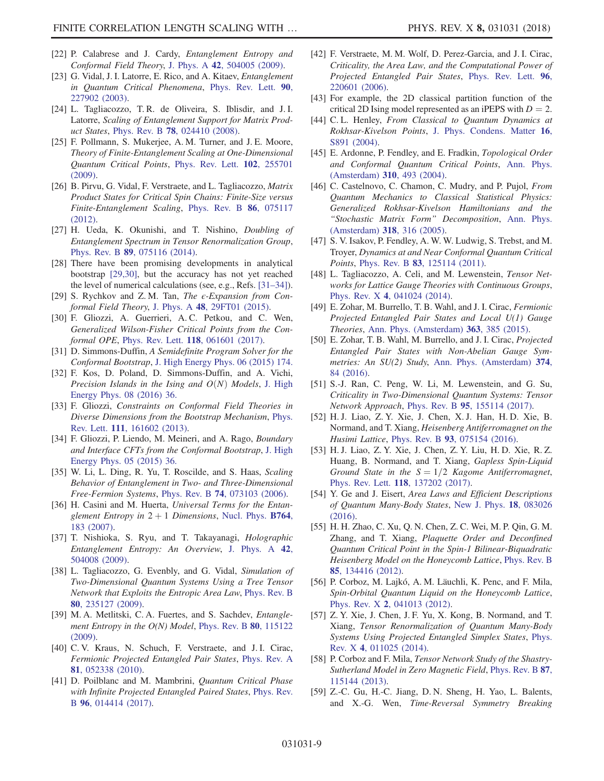- [22] P. Calabrese and J. Cardy, *Entanglement Entropy and* Conformal Field Theory, J. Phys. A 42[, 504005 \(2009\).](https://doi.org/10.1088/1751-8113/42/50/504005)
- [23] G. Vidal, J. I. Latorre, E. Rico, and A. Kitaev, Entanglement in Quantum Critical Phenomena, [Phys. Rev. Lett.](https://doi.org/10.1103/PhysRevLett.90.227902) 90, [227902 \(2003\).](https://doi.org/10.1103/PhysRevLett.90.227902)
- <span id="page-9-0"></span>[24] L. Tagliacozzo, T.R. de Oliveira, S. Iblisdir, and J.I. Latorre, Scaling of Entanglement Support for Matrix Product States, Phys. Rev. B **78**[, 024410 \(2008\).](https://doi.org/10.1103/PhysRevB.78.024410)
- [25] F. Pollmann, S. Mukerjee, A. M. Turner, and J. E. Moore, Theory of Finite-Entanglement Scaling at One-Dimensional Quantum Critical Points, [Phys. Rev. Lett.](https://doi.org/10.1103/PhysRevLett.102.255701) 102, 255701 [\(2009\).](https://doi.org/10.1103/PhysRevLett.102.255701)
- [26] B. Pirvu, G. Vidal, F. Verstraete, and L. Tagliacozzo, *Matrix* Product States for Critical Spin Chains: Finite-Size versus Finite-Entanglement Scaling, [Phys. Rev. B](https://doi.org/10.1103/PhysRevB.86.075117) 86, 075117 [\(2012\).](https://doi.org/10.1103/PhysRevB.86.075117)
- [27] H. Ueda, K. Okunishi, and T. Nishino, Doubling of Entanglement Spectrum in Tensor Renormalization Group, Phys. Rev. B 89[, 075116 \(2014\).](https://doi.org/10.1103/PhysRevB.89.075116)
- <span id="page-9-1"></span>[28] There have been promising developments in analytical bootstrap [\[29,30\]](#page-9-9), but the accuracy has not yet reached the level of numerical calculations (see, e.g., Refs. [31–[34\]\)](#page-9-10).
- <span id="page-9-9"></span>[29] S. Rychkov and Z.M. Tan, The  $\epsilon$ -Expansion from Con-formal Field Theory, J. Phys. A 48[, 29FT01 \(2015\).](https://doi.org/10.1088/1751-8113/48/29/29FT01)
- [30] F. Gliozzi, A. Guerrieri, A. C. Petkou, and C. Wen, Generalized Wilson-Fisher Critical Points from the Conformal OPE, Phys. Rev. Lett. 118[, 061601 \(2017\)](https://doi.org/10.1103/PhysRevLett.118.061601).
- <span id="page-9-10"></span>[31] D. Simmons-Duffin, A Semidefinite Program Solver for the Conformal Bootstrap, [J. High Energy Phys. 06 \(2015\) 174.](https://doi.org/10.1007/JHEP06(2015)174)
- [32] F. Kos, D. Poland, D. Simmons-Duffin, and A. Vichi, Precision Islands in the Ising and  $O(N)$  Models, [J. High](https://doi.org/10.1007/JHEP08(2016)036) [Energy Phys. 08 \(2016\) 36.](https://doi.org/10.1007/JHEP08(2016)036)
- [33] F. Gliozzi, Constraints on Conformal Field Theories in Diverse Dimensions from the Bootstrap Mechanism, [Phys.](https://doi.org/10.1103/PhysRevLett.111.161602) Rev. Lett. 111[, 161602 \(2013\).](https://doi.org/10.1103/PhysRevLett.111.161602)
- [34] F. Gliozzi, P. Liendo, M. Meineri, and A. Rago, Boundary and Interface CFTs from the Conformal Bootstrap, [J. High](https://doi.org/10.1007/JHEP05(2015)036) [Energy Phys. 05 \(2015\) 36.](https://doi.org/10.1007/JHEP05(2015)036)
- <span id="page-9-2"></span>[35] W. Li, L. Ding, R. Yu, T. Roscilde, and S. Haas, Scaling Behavior of Entanglement in Two- and Three-Dimensional Free-Fermion Systems, Phys. Rev. B 74[, 073103 \(2006\)](https://doi.org/10.1103/PhysRevB.74.073103).
- [36] H. Casini and M. Huerta, Universal Terms for the Entanglement Entropy in  $2 + 1$  Dimensions, [Nucl. Phys.](https://doi.org/10.1016/j.nuclphysb.2006.12.012) B764, [183 \(2007\)](https://doi.org/10.1016/j.nuclphysb.2006.12.012).
- [37] T. Nishioka, S. Ryu, and T. Takayanagi, *Holographic* Entanglement Entropy: An Overview, [J. Phys. A](https://doi.org/10.1088/1751-8113/42/50/504008) 42, [504008 \(2009\).](https://doi.org/10.1088/1751-8113/42/50/504008)
- [38] L. Tagliacozzo, G. Evenbly, and G. Vidal, Simulation of Two-Dimensional Quantum Systems Using a Tree Tensor Network that Exploits the Entropic Area Law, [Phys. Rev. B](https://doi.org/10.1103/PhysRevB.80.235127) 80[, 235127 \(2009\).](https://doi.org/10.1103/PhysRevB.80.235127)
- [39] M. A. Metlitski, C. A. Fuertes, and S. Sachdev, *Entangle*ment Entropy in the  $O(N)$  Model, [Phys. Rev. B](https://doi.org/10.1103/PhysRevB.80.115122) 80, 115122 [\(2009\).](https://doi.org/10.1103/PhysRevB.80.115122)
- <span id="page-9-3"></span>[40] C. V. Kraus, N. Schuch, F. Verstraete, and J. I. Cirac, Fermionic Projected Entangled Pair States, [Phys. Rev. A](https://doi.org/10.1103/PhysRevA.81.052338) 81[, 052338 \(2010\).](https://doi.org/10.1103/PhysRevA.81.052338)
- <span id="page-9-5"></span>[41] D. Poilblanc and M. Mambrini, Quantum Critical Phase with Infinite Projected Entangled Paired States, [Phys. Rev.](https://doi.org/10.1103/PhysRevB.96.014414) B 96[, 014414 \(2017\).](https://doi.org/10.1103/PhysRevB.96.014414)
- [42] F. Verstraete, M. M. Wolf, D. Perez-Garcia, and J. I. Cirac, Criticality, the Area Law, and the Computational Power of Projected Entangled Pair States, [Phys. Rev. Lett.](https://doi.org/10.1103/PhysRevLett.96.220601) 96, [220601 \(2006\).](https://doi.org/10.1103/PhysRevLett.96.220601)
- <span id="page-9-4"></span>[43] For example, the 2D classical partition function of the critical 2D Ising model represented as an iPEPS with  $D = 2$ .
- [44] C.L. Henley, From Classical to Quantum Dynamics at Rokhsar-Kivelson Points, [J. Phys. Condens. Matter](https://doi.org/10.1088/0953-8984/16/11/045) 16, [S891 \(2004\).](https://doi.org/10.1088/0953-8984/16/11/045)
- [45] E. Ardonne, P. Fendley, and E. Fradkin, *Topological Order* and Conformal Quantum Critical Points, [Ann. Phys.](https://doi.org/10.1016/j.aop.2004.01.004) [\(Amsterdam\)](https://doi.org/10.1016/j.aop.2004.01.004) 310, 493 (2004).
- [46] C. Castelnovo, C. Chamon, C. Mudry, and P. Pujol, From Quantum Mechanics to Classical Statistical Physics: Generalized Rokhsar-Kivelson Hamiltonians and the "Stochastic Matrix Form" Decomposition, [Ann. Phys.](https://doi.org/10.1016/j.aop.2005.01.006) [\(Amsterdam\)](https://doi.org/10.1016/j.aop.2005.01.006) 318, 316 (2005).
- <span id="page-9-8"></span>[47] S. V. Isakov, P. Fendley, A. W. W. Ludwig, S. Trebst, and M. Troyer, Dynamics at and Near Conformal Quantum Critical *Points*, *Phys. Rev. B* **83**[, 125114 \(2011\).](https://doi.org/10.1103/PhysRevB.83.125114)
- [48] L. Tagliacozzo, A. Celi, and M. Lewenstein, Tensor Networks for Lattice Gauge Theories with Continuous Groups, Phys. Rev. X 4[, 041024 \(2014\).](https://doi.org/10.1103/PhysRevX.4.041024)
- [49] E. Zohar, M. Burrello, T. B. Wahl, and J. I. Cirac, Fermionic Projected Entangled Pair States and Local U(1) Gauge Theories, [Ann. Phys. \(Amsterdam\)](https://doi.org/10.1016/j.aop.2015.10.009) 363, 385 (2015).
- [50] E. Zohar, T. B. Wahl, M. Burrello, and J. I. Cirac, Projected Entangled Pair States with Non-Abelian Gauge Sym-metries: An SU(2) Study, [Ann. Phys. \(Amsterdam\)](https://doi.org/10.1016/j.aop.2016.08.008) 374, [84 \(2016\).](https://doi.org/10.1016/j.aop.2016.08.008)
- <span id="page-9-6"></span>[51] S.-J. Ran, C. Peng, W. Li, M. Lewenstein, and G. Su, Criticality in Two-Dimensional Quantum Systems: Tensor Network Approach, Phys. Rev. B 95[, 155114 \(2017\)](https://doi.org/10.1103/PhysRevB.95.155114).
- [52] H. J. Liao, Z. Y. Xie, J. Chen, X. J. Han, H. D. Xie, B. Normand, and T. Xiang, Heisenberg Antiferromagnet on the Husimi Lattice, Phys. Rev. B 93[, 075154 \(2016\)](https://doi.org/10.1103/PhysRevB.93.075154).
- [53] H. J. Liao, Z. Y. Xie, J. Chen, Z. Y. Liu, H. D. Xie, R. Z. Huang, B. Normand, and T. Xiang, Gapless Spin-Liquid Ground State in the  $S = 1/2$  Kagome Antiferromagnet, Phys. Rev. Lett. 118[, 137202 \(2017\).](https://doi.org/10.1103/PhysRevLett.118.137202)
- <span id="page-9-7"></span>[54] Y. Ge and J. Eisert, Area Laws and Efficient Descriptions of Quantum Many-Body States, [New J. Phys.](https://doi.org/10.1088/1367-2630/18/8/083026) 18, 083026 [\(2016\).](https://doi.org/10.1088/1367-2630/18/8/083026)
- [55] H. H. Zhao, C. Xu, Q. N. Chen, Z. C. Wei, M. P. Qin, G. M. Zhang, and T. Xiang, Plaquette Order and Deconfined Quantum Critical Point in the Spin-1 Bilinear-Biquadratic Heisenberg Model on the Honeycomb Lattice, [Phys. Rev. B](https://doi.org/10.1103/PhysRevB.85.134416) 85[, 134416 \(2012\).](https://doi.org/10.1103/PhysRevB.85.134416)
- [56] P. Corboz, M. Lajkó, A. M. Läuchli, K. Penc, and F. Mila, Spin-Orbital Quantum Liquid on the Honeycomb Lattice, Phys. Rev. X 2[, 041013 \(2012\).](https://doi.org/10.1103/PhysRevX.2.041013)
- [57] Z. Y. Xie, J. Chen, J. F. Yu, X. Kong, B. Normand, and T. Xiang, Tensor Renormalization of Quantum Many-Body Systems Using Projected Entangled Simplex States, [Phys.](https://doi.org/10.1103/PhysRevX.4.011025) Rev. X 4[, 011025 \(2014\).](https://doi.org/10.1103/PhysRevX.4.011025)
- [58] P. Corboz and F. Mila, Tensor Network Study of the Shastry-Sutherland Model in Zero Magnetic Field, [Phys. Rev. B](https://doi.org/10.1103/PhysRevB.87.115144) 87, [115144 \(2013\).](https://doi.org/10.1103/PhysRevB.87.115144)
- [59] Z.-C. Gu, H.-C. Jiang, D. N. Sheng, H. Yao, L. Balents, and X.-G. Wen, Time-Reversal Symmetry Breaking